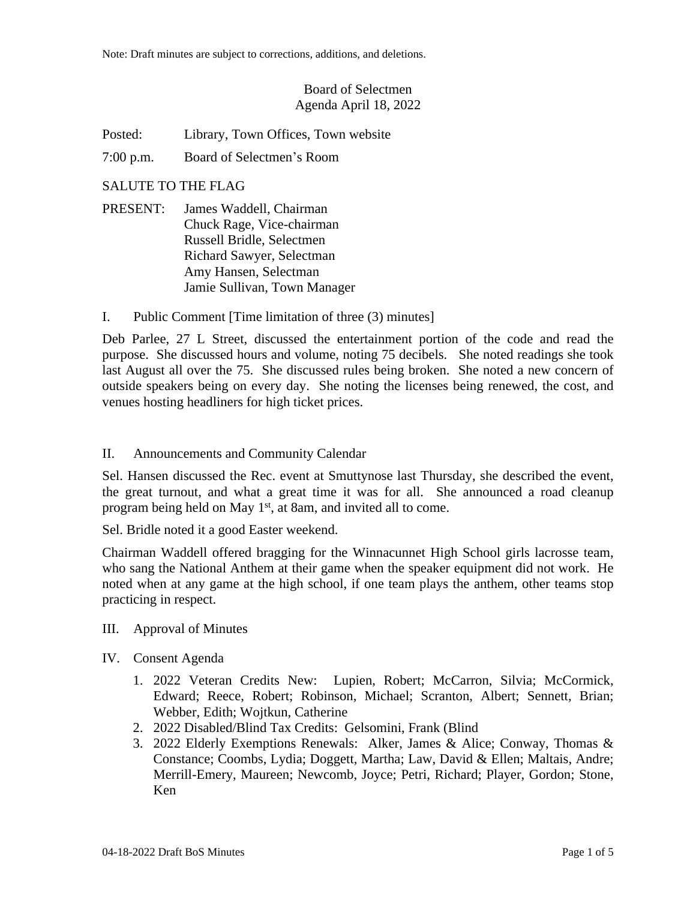# Board of Selectmen Agenda April 18, 2022

Posted: Library, Town Offices, Town website

7:00 p.m. Board of Selectmen's Room

## SALUTE TO THE FLAG

- PRESENT: James Waddell, Chairman Chuck Rage, Vice-chairman Russell Bridle, Selectmen Richard Sawyer, Selectman Amy Hansen, Selectman Jamie Sullivan, Town Manager
- I. Public Comment [Time limitation of three (3) minutes]

Deb Parlee, 27 L Street, discussed the entertainment portion of the code and read the purpose. She discussed hours and volume, noting 75 decibels. She noted readings she took last August all over the 75. She discussed rules being broken. She noted a new concern of outside speakers being on every day. She noting the licenses being renewed, the cost, and venues hosting headliners for high ticket prices.

### II. Announcements and Community Calendar

Sel. Hansen discussed the Rec. event at Smuttynose last Thursday, she described the event, the great turnout, and what a great time it was for all. She announced a road cleanup program being held on May 1st, at 8am, and invited all to come.

Sel. Bridle noted it a good Easter weekend.

Chairman Waddell offered bragging for the Winnacunnet High School girls lacrosse team, who sang the National Anthem at their game when the speaker equipment did not work. He noted when at any game at the high school, if one team plays the anthem, other teams stop practicing in respect.

### III. Approval of Minutes

### IV. Consent Agenda

- 1. 2022 Veteran Credits New: Lupien, Robert; McCarron, Silvia; McCormick, Edward; Reece, Robert; Robinson, Michael; Scranton, Albert; Sennett, Brian; Webber, Edith; Wojtkun, Catherine
- 2. 2022 Disabled/Blind Tax Credits: Gelsomini, Frank (Blind
- 3. 2022 Elderly Exemptions Renewals: Alker, James & Alice; Conway, Thomas & Constance; Coombs, Lydia; Doggett, Martha; Law, David & Ellen; Maltais, Andre; Merrill-Emery, Maureen; Newcomb, Joyce; Petri, Richard; Player, Gordon; Stone, Ken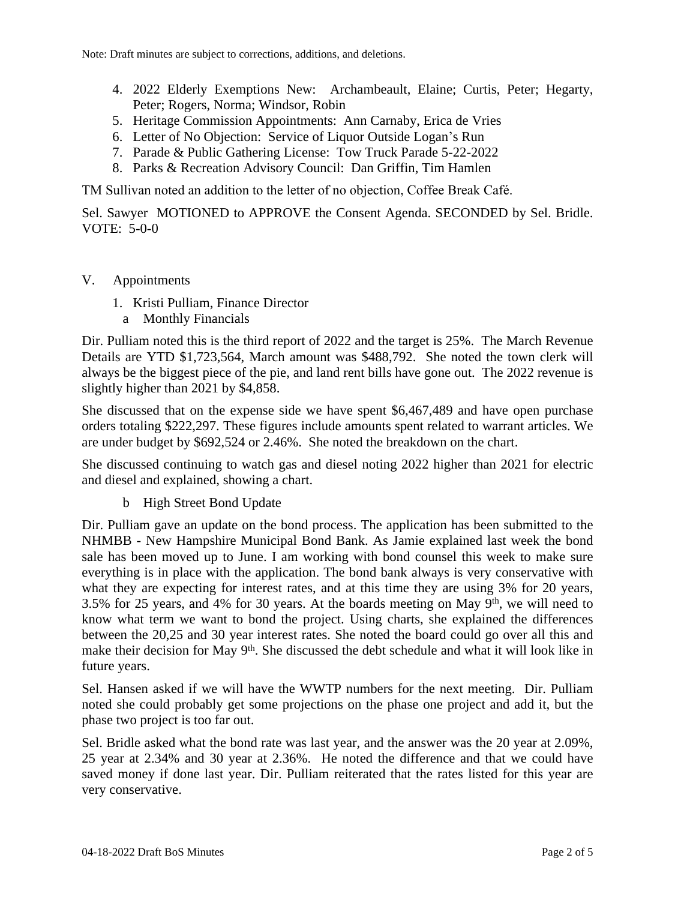- 4. 2022 Elderly Exemptions New: Archambeault, Elaine; Curtis, Peter; Hegarty, Peter; Rogers, Norma; Windsor, Robin
- 5. Heritage Commission Appointments: Ann Carnaby, Erica de Vries
- 6. Letter of No Objection: Service of Liquor Outside Logan's Run
- 7. Parade & Public Gathering License: Tow Truck Parade 5-22-2022
- 8. Parks & Recreation Advisory Council: Dan Griffin, Tim Hamlen

TM Sullivan noted an addition to the letter of no objection, Coffee Break Café.

Sel. Sawyer MOTIONED to APPROVE the Consent Agenda. SECONDED by Sel. Bridle. VOTE:  $5-0-0$ 

- V. Appointments
	- 1. Kristi Pulliam, Finance Director
	- a Monthly Financials

Dir. Pulliam noted this is the third report of 2022 and the target is 25%. The March Revenue Details are YTD \$1,723,564, March amount was \$488,792. She noted the town clerk will always be the biggest piece of the pie, and land rent bills have gone out. The 2022 revenue is slightly higher than 2021 by \$4,858.

She discussed that on the expense side we have spent \$6,467,489 and have open purchase orders totaling \$222,297. These figures include amounts spent related to warrant articles. We are under budget by \$692,524 or 2.46%. She noted the breakdown on the chart.

She discussed continuing to watch gas and diesel noting 2022 higher than 2021 for electric and diesel and explained, showing a chart.

b High Street Bond Update

Dir. Pulliam gave an update on the bond process. The application has been submitted to the NHMBB - New Hampshire Municipal Bond Bank. As Jamie explained last week the bond sale has been moved up to June. I am working with bond counsel this week to make sure everything is in place with the application. The bond bank always is very conservative with what they are expecting for interest rates, and at this time they are using 3% for 20 years, 3.5% for 25 years, and 4% for 30 years. At the boards meeting on May  $9<sup>th</sup>$ , we will need to know what term we want to bond the project. Using charts, she explained the differences between the 20,25 and 30 year interest rates. She noted the board could go over all this and make their decision for May 9<sup>th</sup>. She discussed the debt schedule and what it will look like in future years.

Sel. Hansen asked if we will have the WWTP numbers for the next meeting. Dir. Pulliam noted she could probably get some projections on the phase one project and add it, but the phase two project is too far out.

Sel. Bridle asked what the bond rate was last year, and the answer was the 20 year at 2.09%, 25 year at 2.34% and 30 year at 2.36%. He noted the difference and that we could have saved money if done last year. Dir. Pulliam reiterated that the rates listed for this year are very conservative.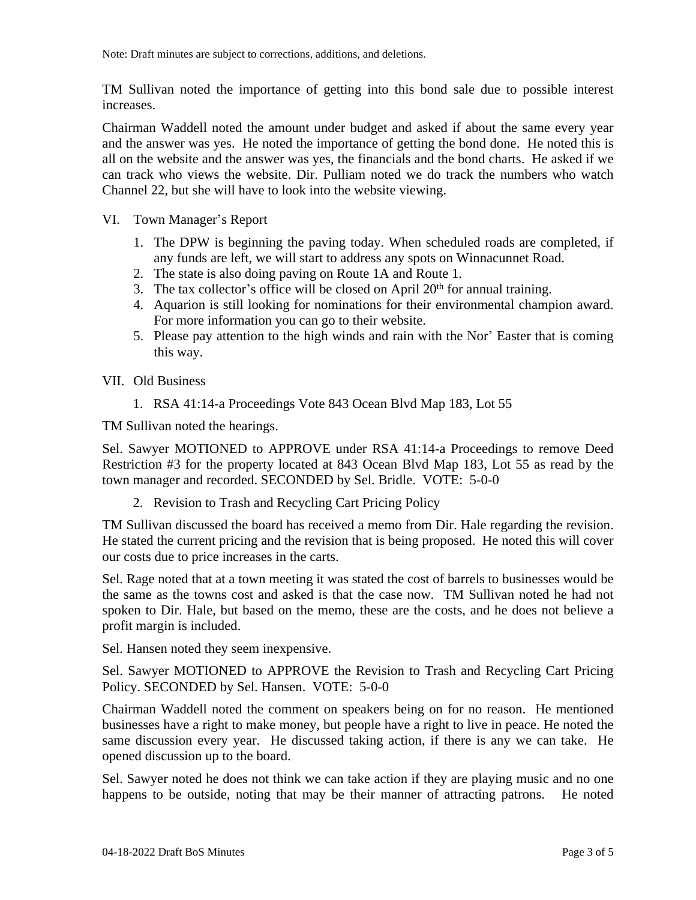Note: Draft minutes are subject to corrections, additions, and deletions.

TM Sullivan noted the importance of getting into this bond sale due to possible interest increases.

Chairman Waddell noted the amount under budget and asked if about the same every year and the answer was yes. He noted the importance of getting the bond done. He noted this is all on the website and the answer was yes, the financials and the bond charts. He asked if we can track who views the website. Dir. Pulliam noted we do track the numbers who watch Channel 22, but she will have to look into the website viewing.

- VI. Town Manager's Report
	- 1. The DPW is beginning the paving today. When scheduled roads are completed, if any funds are left, we will start to address any spots on Winnacunnet Road.
	- 2. The state is also doing paving on Route 1A and Route 1.
	- 3. The tax collector's office will be closed on April  $20<sup>th</sup>$  for annual training.
	- 4. Aquarion is still looking for nominations for their environmental champion award. For more information you can go to their website.
	- 5. Please pay attention to the high winds and rain with the Nor' Easter that is coming this way.
- VII. Old Business
	- 1. RSA 41:14-a Proceedings Vote 843 Ocean Blvd Map 183, Lot 55

TM Sullivan noted the hearings.

Sel. Sawyer MOTIONED to APPROVE under RSA 41:14-a Proceedings to remove Deed Restriction #3 for the property located at 843 Ocean Blvd Map 183, Lot 55 as read by the town manager and recorded. SECONDED by Sel. Bridle. VOTE: 5-0-0

2. Revision to Trash and Recycling Cart Pricing Policy

TM Sullivan discussed the board has received a memo from Dir. Hale regarding the revision. He stated the current pricing and the revision that is being proposed. He noted this will cover our costs due to price increases in the carts.

Sel. Rage noted that at a town meeting it was stated the cost of barrels to businesses would be the same as the towns cost and asked is that the case now. TM Sullivan noted he had not spoken to Dir. Hale, but based on the memo, these are the costs, and he does not believe a profit margin is included.

Sel. Hansen noted they seem inexpensive.

Sel. Sawyer MOTIONED to APPROVE the Revision to Trash and Recycling Cart Pricing Policy. SECONDED by Sel. Hansen. VOTE: 5-0-0

Chairman Waddell noted the comment on speakers being on for no reason. He mentioned businesses have a right to make money, but people have a right to live in peace. He noted the same discussion every year. He discussed taking action, if there is any we can take. He opened discussion up to the board.

Sel. Sawyer noted he does not think we can take action if they are playing music and no one happens to be outside, noting that may be their manner of attracting patrons. He noted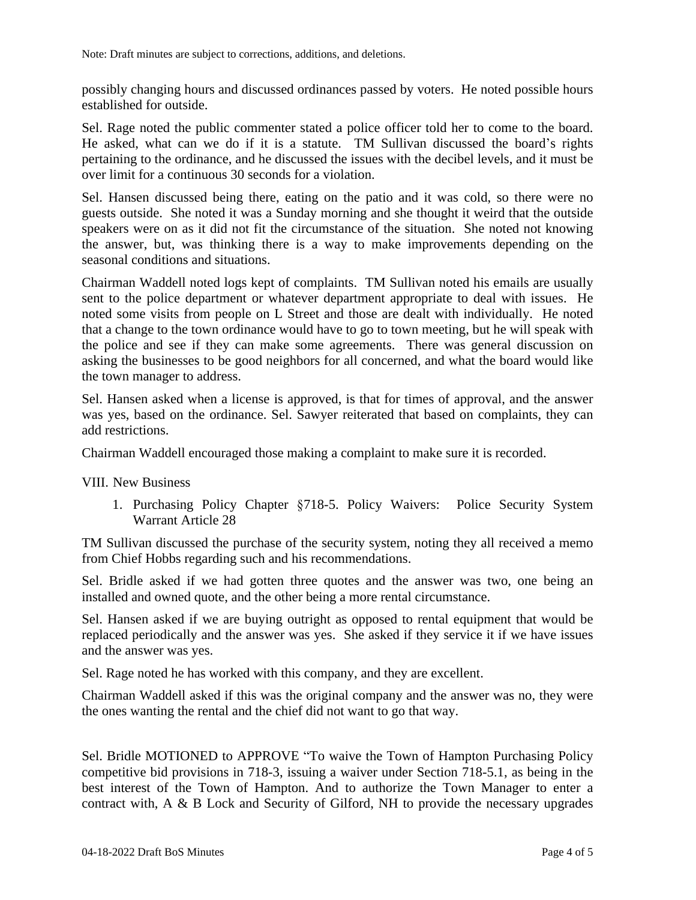possibly changing hours and discussed ordinances passed by voters. He noted possible hours established for outside.

Sel. Rage noted the public commenter stated a police officer told her to come to the board. He asked, what can we do if it is a statute. TM Sullivan discussed the board's rights pertaining to the ordinance, and he discussed the issues with the decibel levels, and it must be over limit for a continuous 30 seconds for a violation.

Sel. Hansen discussed being there, eating on the patio and it was cold, so there were no guests outside. She noted it was a Sunday morning and she thought it weird that the outside speakers were on as it did not fit the circumstance of the situation. She noted not knowing the answer, but, was thinking there is a way to make improvements depending on the seasonal conditions and situations.

Chairman Waddell noted logs kept of complaints. TM Sullivan noted his emails are usually sent to the police department or whatever department appropriate to deal with issues. He noted some visits from people on L Street and those are dealt with individually. He noted that a change to the town ordinance would have to go to town meeting, but he will speak with the police and see if they can make some agreements. There was general discussion on asking the businesses to be good neighbors for all concerned, and what the board would like the town manager to address.

Sel. Hansen asked when a license is approved, is that for times of approval, and the answer was yes, based on the ordinance. Sel. Sawyer reiterated that based on complaints, they can add restrictions.

Chairman Waddell encouraged those making a complaint to make sure it is recorded.

VIII. New Business

1. Purchasing Policy Chapter §718-5. Policy Waivers: Police Security System Warrant Article 28

TM Sullivan discussed the purchase of the security system, noting they all received a memo from Chief Hobbs regarding such and his recommendations.

Sel. Bridle asked if we had gotten three quotes and the answer was two, one being an installed and owned quote, and the other being a more rental circumstance.

Sel. Hansen asked if we are buying outright as opposed to rental equipment that would be replaced periodically and the answer was yes. She asked if they service it if we have issues and the answer was yes.

Sel. Rage noted he has worked with this company, and they are excellent.

Chairman Waddell asked if this was the original company and the answer was no, they were the ones wanting the rental and the chief did not want to go that way.

Sel. Bridle MOTIONED to APPROVE "To waive the Town of Hampton Purchasing Policy competitive bid provisions in 718-3, issuing a waiver under Section 718-5.1, as being in the best interest of the Town of Hampton. And to authorize the Town Manager to enter a contract with, A & B Lock and Security of Gilford, NH to provide the necessary upgrades